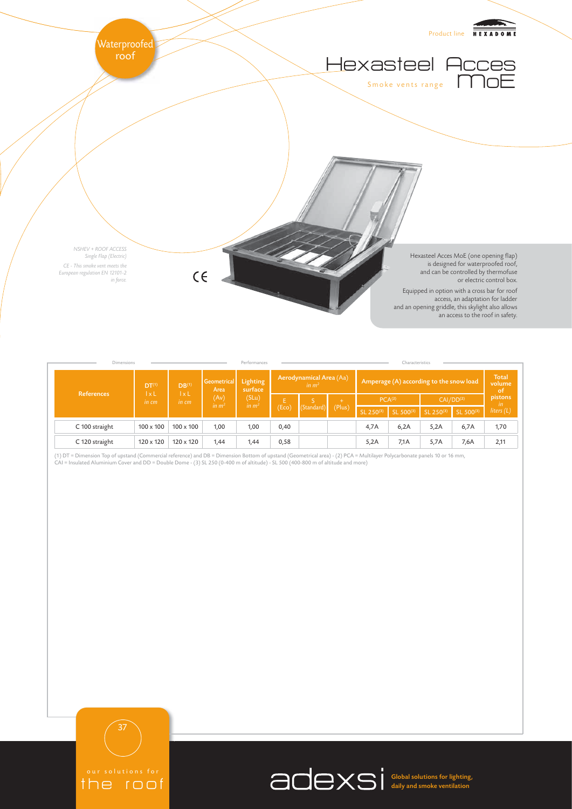

| <b>Dimensions</b> |                                                              |                                   |                                                  | Characteristics<br>Performances                |                                     |            |               |                                         |           |                       |           |                               |
|-------------------|--------------------------------------------------------------|-----------------------------------|--------------------------------------------------|------------------------------------------------|-------------------------------------|------------|---------------|-----------------------------------------|-----------|-----------------------|-----------|-------------------------------|
| <b>References</b> | DT <sup>(1)</sup><br>$\mathsf{I} \times \mathsf{L}$<br>in cm | DB <sup>(1)</sup><br>lxL<br>in cm | Geometrical<br>Area<br>(Av)<br>in m <sup>2</sup> | <b>Lighting</b><br>surface<br>(SLu)<br>in $m2$ | Aerodynamical Area (Aa)<br>in $m^2$ |            |               | Amperage (A) according to the snow load |           |                       |           | <b>Total</b><br>volume<br>-of |
|                   |                                                              |                                   |                                                  |                                                | (Eco)                               | (Standard) | $+$<br>(Plus) | PCA <sup>(2)</sup>                      |           | CAI/DD <sup>(2)</sup> |           | pistons<br>-in                |
|                   |                                                              |                                   |                                                  |                                                |                                     |            |               | SL 250(3)                               | SL 500(3) | SL 250(3)             | SL 500(3) | liters $(L)$                  |
| C 100 straight    | $100 \times 100$                                             | $100 \times 100$                  | 1,00                                             | 1,00                                           | 0,40                                |            |               | 4,7A                                    | 6,2A      | 5,2A                  | 6,7A      | 1,70                          |
| C 120 straight    | $120 \times 120$                                             | $120 \times 120$                  | 1,44                                             | 1,44                                           | 0,58                                |            |               | 5,2A                                    | 7,1A      | 5,7A                  | 7,6A      | 2,11                          |

(1) DT = Dimension Top of upstand (Commercial reference) and DB = Dimension Bottom of upstand (Geometrical area) - (2) PCA = Multilayer Polycarbonate panels 10 or 16 mm,<br>CAI = Insulated Aluminium Cover and DD = Double Dome



Global solutions for lighting, daily and smoke ventilation